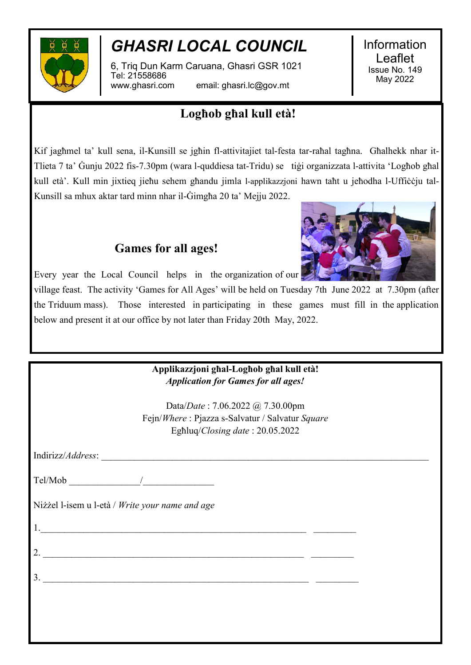

## *GHASRI LOCAL COUNCIL*

6, Triq Dun Karm Caruana, Ghasri GSR 1021 Tel: 21558686 www.ghasri.com email: ghasri.lc@gov.mt

Information Leaflet Issue No. 149 May 2022

### **Logħob għal kull età!**

Kif jagħmel ta' kull sena, il-Kunsill se jgħin fl-attivitajiet tal-festa tar-raħal tagħna. Għalhekk nhar it-Tlieta 7 ta' Ġunju 2022 fis-7.30pm (wara l-quddiesa tat-Tridu) se tiġi organizzata l-attivita 'Logħob għal kull età'. Kull min jixtieq jieħu sehem għandu jimla l-applikazzjoni hawn taħt u jeħodha l-Uffiċċju tal-Kunsill sa mhux aktar tard minn nhar il-Ġimgħa 20 ta' Mejju 2022.

### **Games for all ages!**



Every year the Local Council helps in the organization of our

village feast. The activity 'Games for All Ages' will be held on Tuesday 7th June 2022 at 7.30pm (after the Triduum mass). Those interested in participating in these games must fill in the application below and present it at our office by not later than Friday 20th May, 2022.

| Applikazzjoni ghal-Loghob ghal kull età!<br><b>Application for Games for all ages!</b>                                                                                                                                                                                                                                                                                                                                                                                 |  |
|------------------------------------------------------------------------------------------------------------------------------------------------------------------------------------------------------------------------------------------------------------------------------------------------------------------------------------------------------------------------------------------------------------------------------------------------------------------------|--|
|                                                                                                                                                                                                                                                                                                                                                                                                                                                                        |  |
| Data/Date: 7.06.2022 @ 7.30.00pm                                                                                                                                                                                                                                                                                                                                                                                                                                       |  |
| Fejn/Where: Pjazza s-Salvatur / Salvatur Square                                                                                                                                                                                                                                                                                                                                                                                                                        |  |
| Eghluq/Closing date: 20.05.2022                                                                                                                                                                                                                                                                                                                                                                                                                                        |  |
|                                                                                                                                                                                                                                                                                                                                                                                                                                                                        |  |
|                                                                                                                                                                                                                                                                                                                                                                                                                                                                        |  |
| Nizzel l-isem u l-età / Write your name and age                                                                                                                                                                                                                                                                                                                                                                                                                        |  |
|                                                                                                                                                                                                                                                                                                                                                                                                                                                                        |  |
| 2. $\overline{\phantom{a}}$                                                                                                                                                                                                                                                                                                                                                                                                                                            |  |
| $3.$ $\overline{\phantom{a}}$ $\overline{\phantom{a}}$ $\overline{\phantom{a}}$ $\overline{\phantom{a}}$ $\overline{\phantom{a}}$ $\overline{\phantom{a}}$ $\overline{\phantom{a}}$ $\overline{\phantom{a}}$ $\overline{\phantom{a}}$ $\overline{\phantom{a}}$ $\overline{\phantom{a}}$ $\overline{\phantom{a}}$ $\overline{\phantom{a}}$ $\overline{\phantom{a}}$ $\overline{\phantom{a}}$ $\overline{\phantom{a}}$ $\overline{\phantom{a}}$ $\overline{\phantom{a}}$ |  |
|                                                                                                                                                                                                                                                                                                                                                                                                                                                                        |  |
|                                                                                                                                                                                                                                                                                                                                                                                                                                                                        |  |
|                                                                                                                                                                                                                                                                                                                                                                                                                                                                        |  |